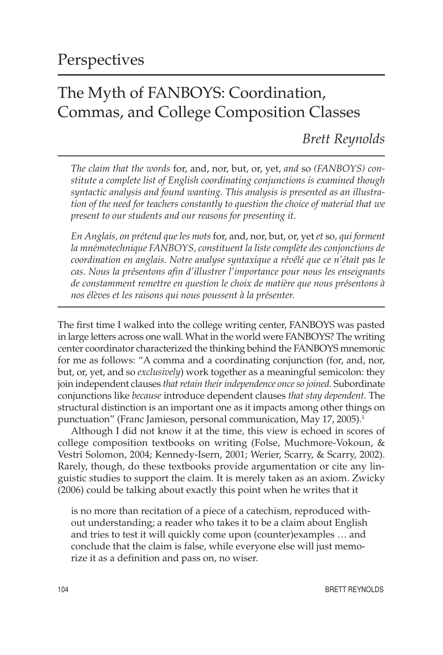# The Myth of FANBOYS: Coordination, Commas, and College Composition Classes

*Brett Reynolds*

*The claim that the words* for, and, nor, but, or, yet, *and* so *(FANBOYS) constitute a complete list of English coordinating conjunctions is examined though syntactic analysis and found wanting. This analysis is presented as an illustration of the need for teachers constantly to question the choice of material that we present to our students and our reasons for presenting it.*

*En Anglais, on prétend que les mots* for, and, nor, but, or, yet *et* so*, qui forment la mnémotechnique FANBOYS, constituent la liste complète des conjonctions de coordination en anglais. Notre analyse syntaxique a révélé que ce n'était pas le cas. Nous la présentons afin d'illustrer l'importance pour nous les enseignants de constamment remettre en question le choix de matière que nous présentons à nos élèves et les raisons qui nous poussent à la présenter.*

The first time I walked into the college writing center, FANBOYS was pasted in large letters across one wall. What in the world were FANBOYS? The writing center coordinator characterized the thinking behind the FANBOYS mnemonic for me as follows: "A comma and a coordinating conjunction (for, and, nor, but, or, yet, and so *exclusively*) work together as a meaningful semicolon: they join independent clauses *that retain their independence once so joined.* Subordinate conjunctions like *because* introduce dependent clauses *that stay dependent.* The structural distinction is an important one as it impacts among other things on punctuation" (Franc Jamieson, personal communication, May 17, 2005).<sup>1</sup>

Although I did not know it at the time, this view is echoed in scores of college composition textbooks on writing (Folse, Muchmore-Vokoun, & Vestri Solomon, 2004; Kennedy-Isern, 2001; Werier, Scarry, & Scarry, 2002). Rarely, though, do these textbooks provide argumentation or cite any linguistic studies to support the claim. It is merely taken as an axiom. Zwicky (2006) could be talking about exactly this point when he writes that it

is no more than recitation of a piece of a catechism, reproduced without understanding; a reader who takes it to be a claim about English and tries to test it will quickly come upon (counter)examples … and conclude that the claim is false, while everyone else will just memorize it as a definition and pass on, no wiser.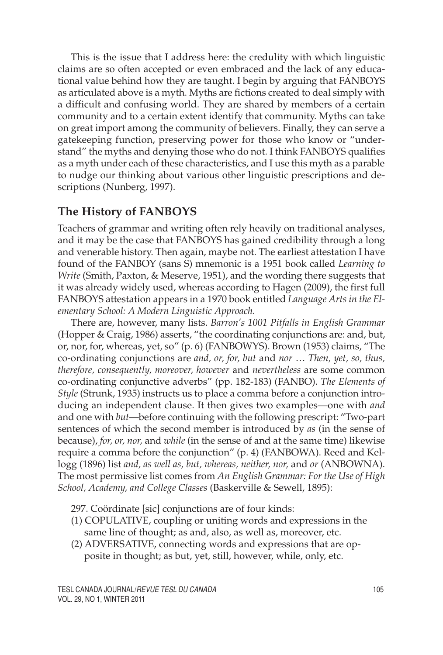This is the issue that I address here: the credulity with which linguistic claims are so often accepted or even embraced and the lack of any educational value behind how they are taught. I begin by arguing that FANBOYS as articulated above is a myth. Myths are fictions created to deal simply with a difficult and confusing world. They are shared by members of a certain community and to a certain extent identify that community. Myths can take on great import among the community of believers. Finally, they can serve a gatekeeping function, preserving power for those who know or "understand" the myths and denying those who do not. I think FANBOYS qualifies as a myth under each of these characteristics, and I use this myth as a parable to nudge our thinking about various other linguistic prescriptions and descriptions (Nunberg, 1997).

## **The History of FANBOYS**

Teachers of grammar and writing often rely heavily on traditional analyses, and it may be the case that FANBOYS has gained credibility through a long and venerable history. Then again, maybe not. The earliest attestation I have found of the FANBOY (sans S) mnemonic is a 1951 book called *Learning to Write* (Smith, Paxton, & Meserve, 1951), and the wording there suggests that it was already widely used, whereas according to Hagen (2009), the first full FANBOYS attestation appears in a 1970 book entitled *Language Arts in the Elementary School: A Modern Linguistic Approach.*

There are, however, many lists. *Barron's 1001 Pitfalls in English Grammar* (Hopper & Craig, 1986) asserts, "the coordinating conjunctions are: and, but, or, nor, for, whereas, yet, so" (p. 6) (FANBOWYS). Brown (1953) claims, "The co-ordinating conjunctions are *and, or, for, but* and *nor* … *Then, yet, so, thus, therefore, consequently, moreover, however* and *nevertheless* are some common co-ordinating conjunctive adverbs" (pp. 182-183) (FANBO). *The Elements of Style* (Strunk, 1935) instructs us to place a comma before a conjunction introducing an independent clause. It then gives two examples—one with *and* and one with *but*—before continuing with the following prescript: "Two-part sentences of which the second member is introduced by *as* (in the sense of because), *for, or, nor,* and *while* (in the sense of and at the same time) likewise require a comma before the conjunction" (p. 4) (FANBOWA). Reed and Kellogg (1896) list *and, as well as, but, whereas, neither, nor,* and *or* (ANBOWNA). The most permissive list comes from *An English Grammar: For the Use of High School, Academy, and College Classes* (Baskerville & Sewell, 1895):

297. Coördinate [sic] conjunctions are of four kinds:

- (1) COPULATIVE, coupling or uniting words and expressions in the same line of thought; as and, also, as well as, moreover, etc.
- (2) ADVERSATIVE, connecting words and expressions that are opposite in thought; as but, yet, still, however, while, only, etc.

TESL CANADA JOURNAL/*REVUE TESL DU CANADA* 105 VOL. 29, NO 1, WINTER 2011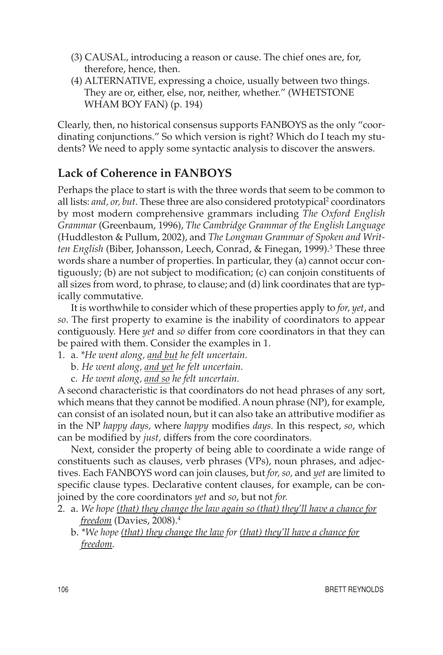- (3) CAUSAL, introducing a reason or cause. The chief ones are, for, therefore, hence, then.
- (4) ALTERNATIVE, expressing a choice, usually between two things. They are or, either, else, nor, neither, whether." (WHETSTONE WHAM BOY FAN) (p. 194)

Clearly, then, no historical consensus supports FANBOYS as the only "coordinating conjunctions." So which version is right? Which do I teach my students? We need to apply some syntactic analysis to discover the answers.

## **Lack of Coherence in FANBOYS**

Perhaps the place to start is with the three words that seem to be common to all lists: *and, or, but*. These three are also considered prototypical<sup>2</sup> coordinators by most modern comprehensive grammars including *The Oxford English Grammar* (Greenbaum, 1996), *The Cambridge Grammar of the English Language* (Huddleston & Pullum, 2002), and *The Longman Grammar of Spoken and Written English* (Biber, Johansson, Leech, Conrad, & Finegan, 1999).3 These three words share a number of properties. In particular, they (a) cannot occur contiguously; (b) are not subject to modification; (c) can conjoin constituents of all sizes from word, to phrase, to clause; and (d) link coordinates that are typically commutative.

It is worthwhile to consider which of these properties apply to *for, yet*, and *so*. The first property to examine is the inability of coordinators to appear contiguously. Here *yet* and *so* differ from core coordinators in that they can be paired with them. Consider the examples in 1.

- 1. a. *\*He went along, and but he felt uncertain.*
	- b. *He went along, and yet he felt uncertain.*
	- c. *He went along, and so he felt uncertain.*

A second characteristic is that coordinators do not head phrases of any sort, which means that they cannot be modified. A noun phrase (NP), for example, can consist of an isolated noun, but it can also take an attributive modifier as in the NP *happy days,* where *happy* modifies *days.* In this respect, *so*, which can be modified by *just,* differs from the core coordinators.

Next, consider the property of being able to coordinate a wide range of constituents such as clauses, verb phrases (VPs), noun phrases, and adjectives. Each FANBOYS word can join clauses, but *for, so,* and *yet* are limited to specific clause types. Declarative content clauses, for example, can be conjoined by the core coordinators *yet* and *so*, but not *for.*

- 2. a. *We hope (that) they change the law again so (that) they'll have a chance for freedom* (Davies, 2008).4
	- b. *\*We hope (that) they change the law for (that) they'll have a chance for freedom.*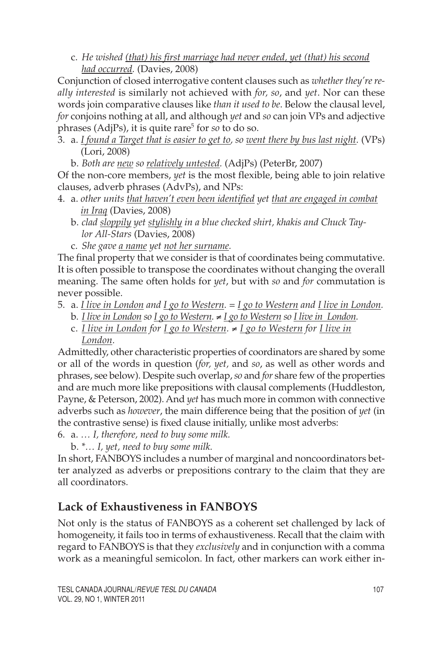c. *He wished (that) his first marriage had never ended, yet (that) his second had occurred.* (Davies, 2008)

Conjunction of closed interrogative content clauses such as *whether they're really interested* is similarly not achieved with *for, so*, and *yet*. Nor can these words join comparative clauses like *than it used to be*. Below the clausal level, *for* conjoins nothing at all, and although *yet* and *so* can join VPs and adjective phrases (AdjPs), it is quite rare<sup>5</sup> for *so* to do so.

- 3. a. *I found a Target that is easier to get to, so went there by bus last night.* (VPs) (Lori, 2008)
	- b. *Both are new so relatively untested.* (AdjPs) (PeterBr, 2007)

Of the non-core members, *yet* is the most flexible, being able to join relative clauses, adverb phrases (AdvPs), and NPs:

- 4. a. *other units that haven't even been identified yet that are engaged in combat in Iraq* (Davies, 2008)
	- b. *clad sloppily yet stylishly in a blue checked shirt, khakis and Chuck Taylor All-Stars* (Davies, 2008)
	- c. *She gave a name yet not her surname.*

The final property that we consider is that of coordinates being commutative. It is often possible to transpose the coordinates without changing the overall meaning. The same often holds for *yet*, but with *so* and *for* commutation is never possible.

- 5. a. *I live in London and I go to Western. = I go to Western and I live in London.*
	- b. *I live in London so I go to Western.* ≠ *I go to Western so I live in London.*
	- c. *I live in London for I go to Western.* ≠ *I go to Western for I live in London.*

Admittedly, other characteristic properties of coordinators are shared by some or all of the words in question (*for, yet,* and *so*, as well as other words and phrases, see below). Despite such overlap, *so* and *for* share few of the properties and are much more like prepositions with clausal complements (Huddleston, Payne, & Peterson, 2002). And *yet* has much more in common with connective adverbs such as *however*, the main difference being that the position of *yet* (in the contrastive sense) is fixed clause initially, unlike most adverbs:

- 6. a. *… I, therefore, need to buy some milk.*
	- b. *\*… I, yet, need to buy some milk.*

In short, FANBOYS includes a number of marginal and noncoordinators better analyzed as adverbs or prepositions contrary to the claim that they are all coordinators.

## **Lack of Exhaustiveness in FANBOYS**

Not only is the status of FANBOYS as a coherent set challenged by lack of homogeneity, it fails too in terms of exhaustiveness. Recall that the claim with regard to FANBOYS is that they *exclusively* and in conjunction with a comma work as a meaningful semicolon. In fact, other markers can work either in-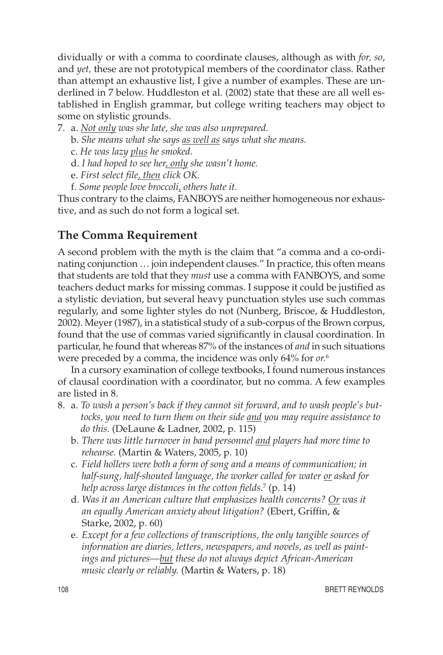dividually or with a comma to coordinate clauses, although as with *for, so*, and *yet,* these are not prototypical members of the coordinator class. Rather than attempt an exhaustive list, I give a number of examples. These are underlined in 7 below. Huddleston et al. (2002) state that these are all well established in English grammar, but college writing teachers may object to some on stylistic grounds.

- 7. a. *Not only was she late, she was also unprepared.*
	- b. *She means what she says as well as says what she means.*
	- c. *He was lazy plus he smoked.*
	- d. *I had hoped to see her, only she wasn't home.*
	- e. *First select file, then click OK.*
	- f. *Some people love broccoli, others hate it.*

Thus contrary to the claims, FANBOYS are neither homogeneous nor exhaustive, and as such do not form a logical set.

### **The Comma Requirement**

A second problem with the myth is the claim that "a comma and a co-ordinating conjunction … join independent clauses." In practice, this often means that students are told that they *must* use a comma with FANBOYS, and some teachers deduct marks for missing commas. I suppose it could be justified as a stylistic deviation, but several heavy punctuation styles use such commas regularly, and some lighter styles do not (Nunberg, Briscoe, & Huddleston, 2002). Meyer (1987), in a statistical study of a sub-corpus of the Brown corpus, found that the use of commas varied significantly in clausal coordination. In particular, he found that whereas 87% of the instances of *and* in such situations were preceded by a comma, the incidence was only 64% for *or.*<sup>6</sup>

In a cursory examination of college textbooks, I found numerous instances of clausal coordination with a coordinator, but no comma. A few examples are listed in 8.

- 8. a. *To wash a person's back if they cannot sit forward, and to wash people's buttocks, you need to turn them on their side and you may require assistance to do this.* (DeLaune & Ladner, 2002, p. 115)
	- b. *There was little turnover in band personnel and players had more time to rehearse.* (Martin & Waters, 2005, p. 10)
	- c. *Field hollers were both a form of song and a means of communication; in half-sung, half-shouted language, the worker called for water or asked for help across large distances in the cotton fields.*<sup>7</sup> (p. 14)
	- d. *Was it an American culture that emphasizes health concerns? Or was it an equally American anxiety about litigation?* (Ebert, Griffin, & Starke, 2002, p. 60)
	- e. *Except for a few collections of transcriptions, the only tangible sources of information are diaries, letters, newspapers, and novels, as well as paintings and pictures—but these do not always depict African-American music clearly or reliably.* (Martin & Waters, p. 18)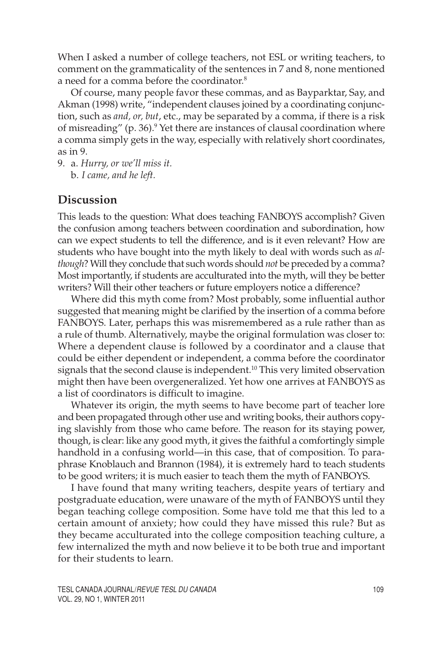When I asked a number of college teachers, not ESL or writing teachers, to comment on the grammaticality of the sentences in 7 and 8, none mentioned a need for a comma before the coordinator.<sup>8</sup>

Of course, many people favor these commas, and as Bayparktar, Say, and Akman (1998) write, "independent clauses joined by a coordinating conjunction, such as *and, or, but*, etc., may be separated by a comma, if there is a risk of misreading" (p. 36).<sup>9</sup> Yet there are instances of clausal coordination where a comma simply gets in the way, especially with relatively short coordinates, as in 9.

9. a. *Hurry, or we'll miss it.* b. *I came, and he left.*

#### **Discussion**

This leads to the question: What does teaching FANBOYS accomplish? Given the confusion among teachers between coordination and subordination, how can we expect students to tell the difference, and is it even relevant? How are students who have bought into the myth likely to deal with words such as *although*? Will they conclude that such words should *not* be preceded by a comma? Most importantly, if students are acculturated into the myth, will they be better writers? Will their other teachers or future employers notice a difference?

Where did this myth come from? Most probably, some influential author suggested that meaning might be clarified by the insertion of a comma before FANBOYS. Later, perhaps this was misremembered as a rule rather than as a rule of thumb. Alternatively, maybe the original formulation was closer to: Where a dependent clause is followed by a coordinator and a clause that could be either dependent or independent, a comma before the coordinator signals that the second clause is independent.<sup>10</sup> This very limited observation might then have been overgeneralized. Yet how one arrives at FANBOYS as a list of coordinators is difficult to imagine.

Whatever its origin, the myth seems to have become part of teacher lore and been propagated through other use and writing books, their authors copying slavishly from those who came before. The reason for its staying power, though, is clear: like any good myth, it gives the faithful a comfortingly simple handhold in a confusing world—in this case, that of composition. To paraphrase Knoblauch and Brannon (1984), it is extremely hard to teach students to be good writers; it is much easier to teach them the myth of FANBOYS.

I have found that many writing teachers, despite years of tertiary and postgraduate education, were unaware of the myth of FANBOYS until they began teaching college composition. Some have told me that this led to a certain amount of anxiety; how could they have missed this rule? But as they became acculturated into the college composition teaching culture, a few internalized the myth and now believe it to be both true and important for their students to learn.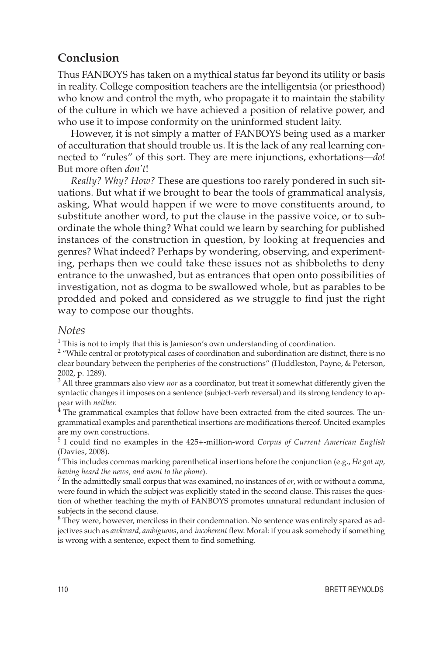#### **Conclusion**

Thus FANBOYS has taken on a mythical status far beyond its utility or basis in reality. College composition teachers are the intelligentsia (or priesthood) who know and control the myth, who propagate it to maintain the stability of the culture in which we have achieved a position of relative power, and who use it to impose conformity on the uninformed student laity.

However, it is not simply a matter of FANBOYS being used as a marker of acculturation that should trouble us. It is the lack of any real learning connected to "rules" of this sort. They are mere injunctions, exhortations—*do*! But more often *don't*!

*Really? Why? How?* These are questions too rarely pondered in such situations. But what if we brought to bear the tools of grammatical analysis, asking, What would happen if we were to move constituents around, to substitute another word, to put the clause in the passive voice, or to subordinate the whole thing? What could we learn by searching for published instances of the construction in question, by looking at frequencies and genres? What indeed? Perhaps by wondering, observing, and experimenting, perhaps then we could take these issues not as shibboleths to deny entrance to the unwashed, but as entrances that open onto possibilities of investigation, not as dogma to be swallowed whole, but as parables to be prodded and poked and considered as we struggle to find just the right way to compose our thoughts.

#### *Notes*

 $<sup>1</sup>$  This is not to imply that this is Jamieson's own understanding of coordination.</sup>

<sup>2</sup> "While central or prototypical cases of coordination and subordination are distinct, there is no clear boundary between the peripheries of the constructions" (Huddleston, Payne, & Peterson, 2002, p. 1289).

<sup>3</sup> All three grammars also view *nor* as a coordinator, but treat it somewhat differently given the syntactic changes it imposes on a sentence (subject-verb reversal) and its strong tendency to appear with *neither.*

 $4$ <sup>1</sup> The grammatical examples that follow have been extracted from the cited sources. The ungrammatical examples and parenthetical insertions are modifications thereof. Uncited examples are my own constructions.

<sup>5</sup> I could find no examples in the 425+-million-word *Corpus of Current American English* (Davies, 2008).

<sup>6</sup> This includes commas marking parenthetical insertions before the conjunction (e.g., *He got up, having heard the news, and went to the phone*).

<sup>7</sup> In the admittedly small corpus that was examined, no instances of *or*, with or without a comma, were found in which the subject was explicitly stated in the second clause. This raises the question of whether teaching the myth of FANBOYS promotes unnatural redundant inclusion of subjects in the second clause.

<sup>8</sup> They were, however, merciless in their condemnation. No sentence was entirely spared as adjectives such as *awkward, ambiguous*, and *incoherent* flew. Moral: if you ask somebody if something is wrong with a sentence, expect them to find something.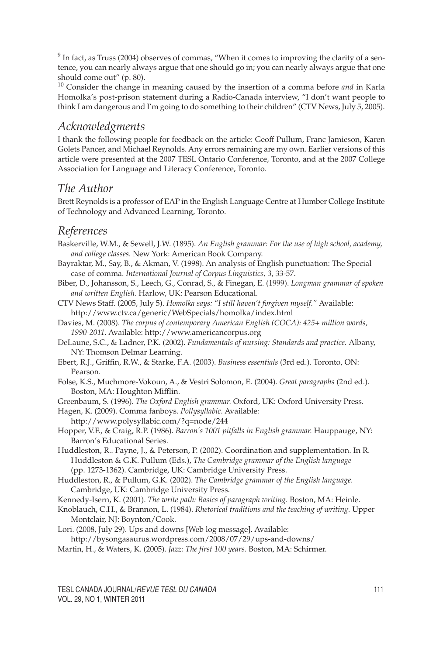$9$  In fact, as Truss (2004) observes of commas, "When it comes to improving the clarity of a sentence, you can nearly always argue that one should go in; you can nearly always argue that one should come out" (p. 80).

<sup>10</sup> Consider the change in meaning caused by the insertion of a comma before *and* in Karla Homolka's post-prison statement during a Radio-Canada interview, "I don't want people to think I am dangerous and I'm going to do something to their children" (CTV News, July 5, 2005).

#### *Acknowledgments*

I thank the following people for feedback on the article: Geoff Pullum, Franc Jamieson, Karen Golets Pancer, and Michael Reynolds. Any errors remaining are my own. Earlier versions of this article were presented at the 2007 TESL Ontario Conference, Toronto, and at the 2007 College Association for Language and Literacy Conference, Toronto.

### *The Author*

Brett Reynolds is a professor of EAP in the English Language Centre at Humber College Institute of Technology and Advanced Learning, Toronto.

#### *References*

- Baskerville, W.M., & Sewell, J.W. (1895). *An English grammar: For the use of high school, academy, and college classes.* New York: American Book Company.
- Bayraktar, M., Say, B., & Akman, V. (1998). An analysis of English punctuation: The Special case of comma. *International Journal of Corpus Linguistics, 3*, 33-57.
- Biber, D., Johansson, S., Leech, G., Conrad, S., & Finegan, E. (1999). *Longman grammar of spoken and written English.* Harlow, UK: Pearson Educational.
- CTV News Staff. (2005, July 5). *Homolka says: "I still haven't forgiven myself."* Available: http://www.ctv.ca/generic/WebSpecials/homolka/index.html
- Davies, M. (2008). *The corpus of contemporary American English (COCA): 425+ million words, 1990-2011.* Available: http://www.americancorpus.org
- DeLaune, S.C., & Ladner, P.K. (2002). *Fundamentals of nursing: Standards and practice.* Albany, NY: Thomson Delmar Learning.
- Ebert, R.J., Griffin, R.W., & Starke, F.A. (2003). *Business essentials* (3rd ed.). Toronto, ON: Pearson.
- Folse, K.S., Muchmore-Vokoun, A., & Vestri Solomon, E. (2004). *Great paragraphs* (2nd ed.). Boston, MA: Houghton Mifflin.

Greenbaum, S. (1996). *The Oxford English grammar.* Oxford, UK: Oxford University Press.

- Hagen, K. (2009). Comma fanboys. *Pollysyllabic.* Available: http://www.polysyllabic.com/?q=node/244
- Hopper, V.F., & Craig, R.P. (1986). *Barron's 1001 pitfalls in English grammar.* Hauppauge, NY: Barron's Educational Series.
- Huddleston, R.. Payne, J., & Peterson, P. (2002). Coordination and supplementation. In R. Huddleston & G.K. Pullum (Eds.), *The Cambridge grammar of the English language* (pp. 1273-1362). Cambridge, UK: Cambridge University Press.
- Huddleston, R., & Pullum, G.K. (2002). *The Cambridge grammar of the English language.* Cambridge, UK: Cambridge University Press.
- Kennedy-Isern, K. (2001). *The write path: Basics of paragraph writing.* Boston, MA: Heinle.
- Knoblauch, C.H., & Brannon, L. (1984). *Rhetorical traditions and the teaching of writing.* Upper Montclair, NJ: Boynton/Cook.
- Lori. (2008, July 29). Ups and downs [Web log message]. Available: http://bysongasaurus.wordpress.com/2008/07/29/ups-and-downs/
- Martin, H., & Waters, K. (2005). *Jazz: The first 100 years.* Boston, MA: Schirmer.